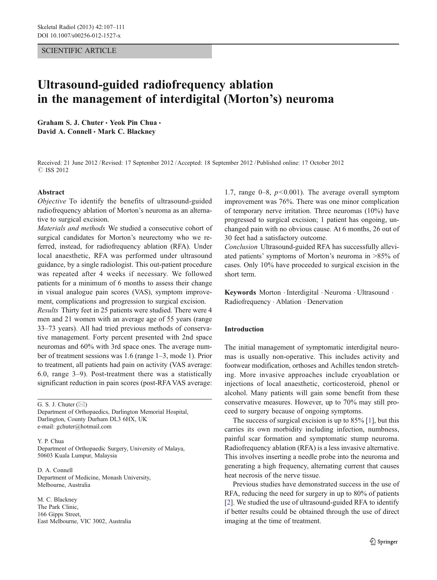## SCIENTIFIC ARTICLE

# Ultrasound-guided radiofrequency ablation in the management of interdigital (Morton's) neuroma

Graham S. J. Chuter · Yeok Pin Chua · David A. Connell · Mark C. Blackney

Received: 21 June 2012 /Revised: 17 September 2012 /Accepted: 18 September 2012 / Published online: 17 October 2012 C ISS 2012

# Abstract

Objective To identify the benefits of ultrasound-guided radiofrequency ablation of Morton's neuroma as an alternative to surgical excision.

Materials and methods We studied a consecutive cohort of surgical candidates for Morton's neurectomy who we referred, instead, for radiofrequency ablation (RFA). Under local anaesthetic, RFA was performed under ultrasound guidance, by a single radiologist. This out-patient procedure was repeated after 4 weeks if necessary. We followed patients for a minimum of 6 months to assess their change in visual analogue pain scores (VAS), symptom improvement, complications and progression to surgical excision.

Results Thirty feet in 25 patients were studied. There were 4 men and 21 women with an average age of 55 years (range 33–73 years). All had tried previous methods of conservative management. Forty percent presented with 2nd space neuromas and 60% with 3rd space ones. The average number of treatment sessions was 1.6 (range 1–3, mode 1). Prior to treatment, all patients had pain on activity (VAS average: 6.0, range 3–9). Post-treatment there was a statistically significant reduction in pain scores (post-RFA VAS average:

G. S. J. Chuter  $(\boxtimes)$ 

Department of Orthopaedics, Darlington Memorial Hospital, Darlington, County Durham DL3 6HX, UK e-mail: gchuter@hotmail.com

Y. P. Chua Department of Orthopaedic Surgery, University of Malaya, 50603 Kuala Lumpur, Malaysia

D. A. Connell Department of Medicine, Monash University, Melbourne, Australia

M. C. Blackney The Park Clinic, 166 Gipps Street, East Melbourne, VIC 3002, Australia

1.7, range  $0-8$ ,  $p<0.001$ ). The average overall symptom improvement was 76%. There was one minor complication of temporary nerve irritation. Three neuromas (10%) have progressed to surgical excision; 1 patient has ongoing, unchanged pain with no obvious cause. At 6 months, 26 out of 30 feet had a satisfactory outcome.

Conclusion Ultrasound-guided RFA has successfully alleviated patients' symptoms of Morton's neuroma in >85% of cases. Only 10% have proceeded to surgical excision in the short term.

Keywords Morton . Interdigital . Neuroma . Ultrasound . Radiofrequency . Ablation . Denervation

# Introduction

The initial management of symptomatic interdigital neuromas is usually non-operative. This includes activity and footwear modification, orthoses and Achilles tendon stretching. More invasive approaches include cryoablation or injections of local anaesthetic, corticosteroid, phenol or alcohol. Many patients will gain some benefit from these conservative measures. However, up to 70% may still proceed to surgery because of ongoing symptoms.

The success of surgical excision is up to 85% [[1\]](#page-4-0), but this carries its own morbidity including infection, numbness, painful scar formation and symptomatic stump neuroma. Radiofrequency ablation (RFA) is a less invasive alternative. This involves inserting a needle probe into the neuroma and generating a high frequency, alternating current that causes heat necrosis of the nerve tissue.

Previous studies have demonstrated success in the use of RFA, reducing the need for surgery in up to 80% of patients [\[2](#page-4-0)]. We studied the use of ultrasound-guided RFA to identify if better results could be obtained through the use of direct imaging at the time of treatment.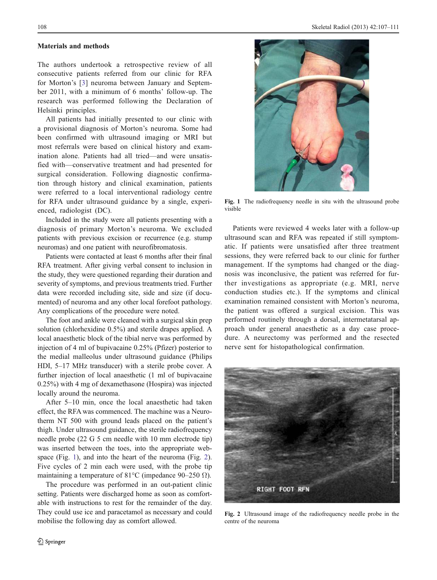#### Materials and methods

The authors undertook a retrospective review of all consecutive patients referred from our clinic for RFA for Morton's [\[3\]](#page-4-0) neuroma between January and September 2011, with a minimum of 6 months' follow-up. The research was performed following the Declaration of Helsinki principles.

All patients had initially presented to our clinic with a provisional diagnosis of Morton's neuroma. Some had been confirmed with ultrasound imaging or MRI but most referrals were based on clinical history and examination alone. Patients had all tried—and were unsatisfied with—conservative treatment and had presented for surgical consideration. Following diagnostic confirmation through history and clinical examination, patients were referred to a local interventional radiology centre for RFA under ultrasound guidance by a single, experienced, radiologist (DC).

Included in the study were all patients presenting with a diagnosis of primary Morton's neuroma. We excluded patients with previous excision or recurrence (e.g. stump neuromas) and one patient with neurofibromatosis.

Patients were contacted at least 6 months after their final RFA treatment. After giving verbal consent to inclusion in the study, they were questioned regarding their duration and severity of symptoms, and previous treatments tried. Further data were recorded including site, side and size (if documented) of neuroma and any other local forefoot pathology. Any complications of the procedure were noted.

The foot and ankle were cleaned with a surgical skin prep solution (chlorhexidine 0.5%) and sterile drapes applied. A local anaesthetic block of the tibial nerve was performed by injection of 4 ml of bupivacaine 0.25% (Pfizer) posterior to the medial malleolus under ultrasound guidance (Philips HDI, 5–17 MHz transducer) with a sterile probe cover. A further injection of local anaesthetic (1 ml of bupivacaine 0.25%) with 4 mg of dexamethasone (Hospira) was injected locally around the neuroma.

After 5–10 min, once the local anaesthetic had taken effect, the RFA was commenced. The machine was a Neurotherm NT 500 with ground leads placed on the patient's thigh. Under ultrasound guidance, the sterile radiofrequency needle probe (22 G 5 cm needle with 10 mm electrode tip) was inserted between the toes, into the appropriate webspace (Fig. 1), and into the heart of the neuroma (Fig. 2). Five cycles of 2 min each were used, with the probe tip maintaining a temperature of 81 $^{\circ}$ C (impedance 90–250  $\Omega$ ).

The procedure was performed in an out-patient clinic setting. Patients were discharged home as soon as comfortable with instructions to rest for the remainder of the day. They could use ice and paracetamol as necessary and could mobilise the following day as comfort allowed.





Fig. 1 The radiofrequency needle in situ with the ultrasound probe visible

Patients were reviewed 4 weeks later with a follow-up ultrasound scan and RFA was repeated if still symptomatic. If patients were unsatisfied after three treatment sessions, they were referred back to our clinic for further management. If the symptoms had changed or the diagnosis was inconclusive, the patient was referred for further investigations as appropriate (e.g. MRI, nerve conduction studies etc.). If the symptoms and clinical examination remained consistent with Morton's neuroma, the patient was offered a surgical excision. This was performed routinely through a dorsal, intermetatarsal approach under general anaesthetic as a day case procedure. A neurectomy was performed and the resected nerve sent for histopathological confirmation.



Fig. 2 Ultrasound image of the radiofrequency needle probe in the centre of the neuroma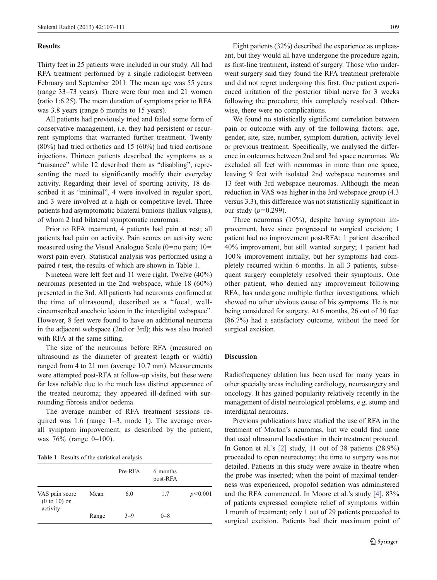#### Results

Thirty feet in 25 patients were included in our study. All had RFA treatment performed by a single radiologist between February and September 2011. The mean age was 55 years (range 33–73 years). There were four men and 21 women (ratio 1:6.25). The mean duration of symptoms prior to RFA was 3.8 years (range 6 months to 15 years).

All patients had previously tried and failed some form of conservative management, i.e. they had persistent or recurrent symptoms that warranted further treatment. Twenty (80%) had tried orthotics and 15 (60%) had tried cortisone injections. Thirteen patients described the symptoms as a "nuisance" while 12 described them as "disabling", representing the need to significantly modify their everyday activity. Regarding their level of sporting activity, 18 described it as "minimal", 4 were involved in regular sport, and 3 were involved at a high or competitive level. Three patients had asymptomatic bilateral bunions (hallux valgus), of whom 2 had bilateral symptomatic neuromas.

Prior to RFA treatment, 4 patients had pain at rest; all patients had pain on activity. Pain scores on activity were measured using the Visual Analogue Scale (0=no pain;  $10=$ worst pain ever). Statistical analysis was performed using a paired  $t$  test, the results of which are shown in Table 1.

Nineteen were left feet and 11 were right. Twelve (40%) neuromas presented in the 2nd webspace, while 18 (60%) presented in the 3rd. All patients had neuromas confirmed at the time of ultrasound, described as a "focal, wellcircumscribed anechoic lesion in the interdigital webspace". However, 8 feet were found to have an additional neuroma in the adjacent webspace (2nd or 3rd); this was also treated with RFA at the same sitting.

The size of the neuromas before RFA (measured on ultrasound as the diameter of greatest length or width) ranged from 4 to 21 mm (average 10.7 mm). Measurements were attempted post-RFA at follow-up visits, but these were far less reliable due to the much less distinct appearance of the treated neuroma; they appeared ill-defined with surrounding fibrosis and/or oedema.

The average number of RFA treatment sessions required was  $1.6$  (range  $1-3$ , mode 1). The average overall symptom improvement, as described by the patient, was 76% (range 0–100).

Table 1 Results of the statistical analysis

|                                              |       | Pre-RFA | 6 months<br>post-RFA |         |
|----------------------------------------------|-------|---------|----------------------|---------|
| VAS pain score<br>$(0 to 10)$ on<br>activity | Mean  | 6.0     | 1.7                  | p<0.001 |
|                                              | Range | $3 - 9$ | $0 - 8$              |         |

Eight patients (32%) described the experience as unpleasant, but they would all have undergone the procedure again, as first-line treatment, instead of surgery. Those who underwent surgery said they found the RFA treatment preferable and did not regret undergoing this first. One patient experienced irritation of the posterior tibial nerve for 3 weeks following the procedure; this completely resolved. Otherwise, there were no complications.

We found no statistically significant correlation between pain or outcome with any of the following factors: age, gender, site, size, number, symptom duration, activity level or previous treatment. Specifically, we analysed the difference in outcomes between 2nd and 3rd space neuromas. We excluded all feet with neuromas in more than one space, leaving 9 feet with isolated 2nd webspace neuromas and 13 feet with 3rd webspace neuromas. Although the mean reduction in VAS was higher in the 3rd webspace group (4.3 versus 3.3), this difference was not statistically significant in our study  $(p=0.299)$ .

Three neuromas (10%), despite having symptom improvement, have since progressed to surgical excision; 1 patient had no improvement post-RFA; 1 patient described 40% improvement, but still wanted surgery; 1 patient had 100% improvement initially, but her symptoms had completely recurred within 6 months. In all 3 patients, subsequent surgery completely resolved their symptoms. One other patient, who denied any improvement following RFA, has undergone multiple further investigations, which showed no other obvious cause of his symptoms. He is not being considered for surgery. At 6 months, 26 out of 30 feet (86.7%) had a satisfactory outcome, without the need for surgical excision.

# Discussion

Radiofrequency ablation has been used for many years in other specialty areas including cardiology, neurosurgery and oncology. It has gained popularity relatively recently in the management of distal neurological problems, e.g. stump and interdigital neuromas.

Previous publications have studied the use of RFA in the treatment of Morton's neuromas, but we could find none that used ultrasound localisation in their treatment protocol. In Genon et al.'s [[2\]](#page-4-0) study, 11 out of 38 patients (28.9%) proceeded to open neurectomy; the time to surgery was not detailed. Patients in this study were awake in theatre when the probe was inserted; when the point of maximal tenderness was experienced, propofol sedation was administered and the RFA commenced. In Moore et al.'s study [\[4](#page-4-0)], 83% of patients expressed complete relief of symptoms within 1 month of treatment; only 1 out of 29 patients proceeded to surgical excision. Patients had their maximum point of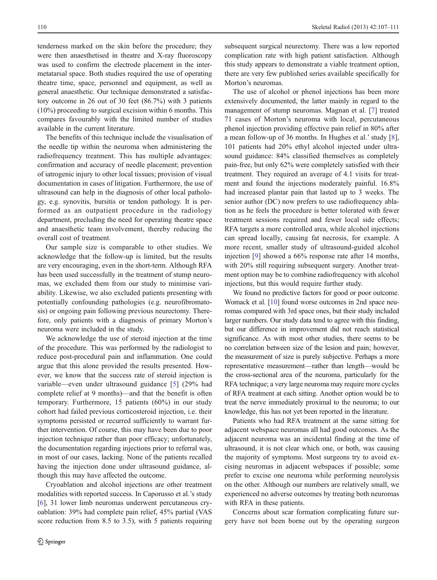tenderness marked on the skin before the procedure; they were then anaesthetised in theatre and X-ray fluoroscopy was used to confirm the electrode placement in the intermetatarsal space. Both studies required the use of operating theatre time, space, personnel and equipment, as well as general anaesthetic. Our technique demonstrated a satisfactory outcome in 26 out of 30 feet (86.7%) with 3 patients (10%) proceeding to surgical excision within 6 months. This compares favourably with the limited number of studies available in the current literature.

The benefits of this technique include the visualisation of the needle tip within the neuroma when administering the radiofrequency treatment. This has multiple advantages: confirmation and accuracy of needle placement; prevention of iatrogenic injury to other local tissues; provision of visual documentation in cases of litigation. Furthermore, the use of ultrasound can help in the diagnosis of other local pathology, e.g. synovitis, bursitis or tendon pathology. It is performed as an outpatient procedure in the radiology department, precluding the need for operating theatre space and anaesthetic team involvement, thereby reducing the overall cost of treatment.

Our sample size is comparable to other studies. We acknowledge that the follow-up is limited, but the results are very encouraging, even in the short-term. Although RFA has been used successfully in the treatment of stump neuromas, we excluded them from our study to minimise variability. Likewise, we also excluded patients presenting with potentially confounding pathologies (e.g. neurofibromatosis) or ongoing pain following previous neurectomy. Therefore, only patients with a diagnosis of primary Morton's neuroma were included in the study.

We acknowledge the use of steroid injection at the time of the procedure. This was performed by the radiologist to reduce post-procedural pain and inflammation. One could argue that this alone provided the results presented. However, we know that the success rate of steroid injection is variable—even under ultrasound guidance [[5\]](#page-4-0) (29% had complete relief at 9 months)—and that the benefit is often temporary. Furthermore, 15 patients (60%) in our study cohort had failed previous corticosteroid injection, i.e. their symptoms persisted or recurred sufficiently to warrant further intervention. Of course, this may have been due to poor injection technique rather than poor efficacy; unfortunately, the documentation regarding injections prior to referral was, in most of our cases, lacking. None of the patients recalled having the injection done under ultrasound guidance, although this may have affected the outcome.

Cryoablation and alcohol injections are other treatment modalities with reported success. In Caporusso et al.'s study [\[6](#page-4-0)], 31 lower limb neuromas underwent percutaneous cryoablation: 39% had complete pain relief, 45% partial (VAS score reduction from 8.5 to 3.5), with 5 patients requiring subsequent surgical neurectomy. There was a low reported complication rate with high patient satisfaction. Although this study appears to demonstrate a viable treatment option, there are very few published series available specifically for Morton's neuromas.

The use of alcohol or phenol injections has been more extensively documented, the latter mainly in regard to the management of stump neuromas. Magnan et al. [[7\]](#page-4-0) treated 71 cases of Morton's neuroma with local, percutaneous phenol injection providing effective pain relief in 80% after a mean follow-up of 36 months. In Hughes et al.' study [[8\]](#page-4-0), 101 patients had 20% ethyl alcohol injected under ultrasound guidance: 84% classified themselves as completely pain-free, but only 62% were completely satisfied with their treatment. They required an average of 4.1 visits for treatment and found the injections moderately painful. 16.8% had increased plantar pain that lasted up to 3 weeks. The senior author (DC) now prefers to use radiofrequency ablation as he feels the procedure is better tolerated with fewer treatment sessions required and fewer local side effects; RFA targets a more controlled area, while alcohol injections can spread locally, causing fat necrosis, for example. A more recent, smaller study of ultrasound-guided alcohol injection [\[9](#page-4-0)] showed a 66% response rate after 14 months, with 20% still requiring subsequent surgery. Another treatment option may be to combine radiofrequency with alcohol injections, but this would require further study.

We found no predictive factors for good or poor outcome. Womack et al. [\[10\]](#page-4-0) found worse outcomes in 2nd space neuromas compared with 3rd space ones, but their study included larger numbers. Our study data tend to agree with this finding, but our difference in improvement did not reach statistical significance. As with most other studies, there seems to be no correlation between size of the lesion and pain; however, the measurement of size is purely subjective. Perhaps a more representative measurement—rather than length—would be the cross-sectional area of the neuroma, particularly for the RFA technique; a very large neuroma may require more cycles of RFA treatment at each sitting. Another option would be to treat the nerve immediately proximal to the neuroma; to our knowledge, this has not yet been reported in the literature.

Patients who had RFA treatment at the same sitting for adjacent webspace neuromas all had good outcomes. As the adjacent neuroma was an incidental finding at the time of ultrasound, it is not clear which one, or both, was causing the majority of symptoms. Most surgeons try to avoid excising neuromas in adjacent webspaces if possible; some prefer to excise one neuroma while performing neurolysis on the other. Although our numbers are relatively small, we experienced no adverse outcomes by treating both neuromas with RFA in these patients.

Concerns about scar formation complicating future surgery have not been borne out by the operating surgeon